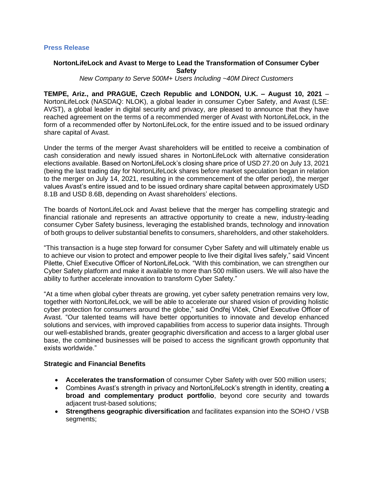#### **Press Release**

# **NortonLifeLock and Avast to Merge to Lead the Transformation of Consumer Cyber Safety**

*New Company to Serve 500M+ Users Including ~40M Direct Customers*

**TEMPE, Ariz., and PRAGUE, Czech Republic and LONDON, U.K. – August 10, 2021** – NortonLifeLock (NASDAQ: NLOK), a global leader in consumer Cyber Safety, and Avast (LSE: AVST), a global leader in digital security and privacy, are pleased to announce that they have reached agreement on the terms of a recommended merger of Avast with NortonLifeLock, in the form of a recommended offer by NortonLifeLock, for the entire issued and to be issued ordinary share capital of Avast.

Under the terms of the merger Avast shareholders will be entitled to receive a combination of cash consideration and newly issued shares in NortonLifeLock with alternative consideration elections available. Based on NortonLifeLock's closing share price of USD 27.20 on July 13, 2021 (being the last trading day for NortonLifeLock shares before market speculation began in relation to the merger on July 14, 2021, resulting in the commencement of the offer period), the merger values Avast's entire issued and to be issued ordinary share capital between approximately USD 8.1B and USD 8.6B, depending on Avast shareholders' elections.

The boards of NortonLifeLock and Avast believe that the merger has compelling strategic and financial rationale and represents an attractive opportunity to create a new, industry-leading consumer Cyber Safety business, leveraging the established brands, technology and innovation of both groups to deliver substantial benefits to consumers, shareholders, and other stakeholders.

"This transaction is a huge step forward for consumer Cyber Safety and will ultimately enable us to achieve our vision to protect and empower people to live their digital lives safely," said Vincent Pilette, Chief Executive Officer of NortonLifeLock. "With this combination, we can strengthen our Cyber Safety platform and make it available to more than 500 million users. We will also have the ability to further accelerate innovation to transform Cyber Safety."

"At a time when global cyber threats are growing, yet cyber safety penetration remains very low, together with NortonLifeLock, we will be able to accelerate our shared vision of providing holistic cyber protection for consumers around the globe," said Ondřej Vlček, Chief Executive Officer of Avast. "Our talented teams will have better opportunities to innovate and develop enhanced solutions and services, with improved capabilities from access to superior data insights. Through our well-established brands, greater geographic diversification and access to a larger global user base, the combined businesses will be poised to access the significant growth opportunity that exists worldwide."

#### **Strategic and Financial Benefits**

- **Accelerates the transformation** of consumer Cyber Safety with over 500 million users;
- Combines Avast's strength in privacy and NortonLifeLock's strength in identity, creating **a broad and complementary product portfolio**, beyond core security and towards adjacent trust-based solutions;
- **Strengthens geographic diversification** and facilitates expansion into the SOHO / VSB segments;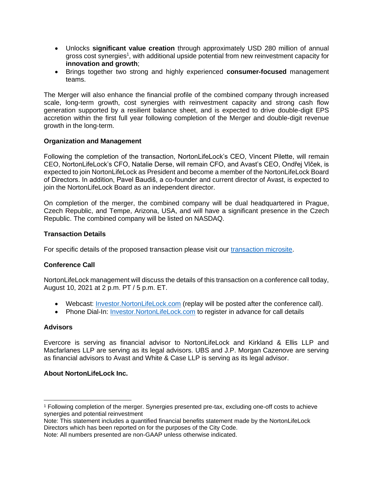- Unlocks **significant value creation** through approximately USD 280 million of annual gross cost synergies<sup>1</sup>, with additional upside potential from new reinvestment capacity for **innovation and growth**;
- Brings together two strong and highly experienced **consumer-focused** management teams.

The Merger will also enhance the financial profile of the combined company through increased scale, long-term growth, cost synergies with reinvestment capacity and strong cash flow generation supported by a resilient balance sheet, and is expected to drive double-digit EPS accretion within the first full year following completion of the Merger and double-digit revenue growth in the long-term.

## **Organization and Management**

Following the completion of the transaction, NortonLifeLock's CEO, Vincent Pilette, will remain CEO, NortonLifeLock's CFO, Natalie Derse, will remain CFO, and Avast's CEO, Ondřej Vlček, is expected to join NortonLifeLock as President and become a member of the NortonLifeLock Board of Directors. In addition, Pavel Baudiš, a co-founder and current director of Avast, is expected to join the NortonLifeLock Board as an independent director.

On completion of the merger, the combined company will be dual headquartered in Prague, Czech Republic, and Tempe, Arizona, USA, and will have a significant presence in the Czech Republic. The combined company will be listed on NASDAQ.

## **Transaction Details**

For specific details of the proposed transaction please visit our [transaction microsite.](https://investor.nortonlifelock.com/About/Investors/Offer-for-Avast-PLC/default.aspx)

# **Conference Call**

NortonLifeLock management will discuss the details of this transaction on a conference call today, August 10, 2021 at 2 p.m. PT / 5 p.m. ET.

- Webcast: [Investor.NortonLifeLock.com](https://investor.nortonlifelock.com/) (replay will be posted after the conference call).
- Phone Dial-In: [Investor.NortonLifeLock.com](https://investor.nortonlifelock.com/) to register in advance for call details

#### **Advisors**

Evercore is serving as financial advisor to NortonLifeLock and Kirkland & Ellis LLP and Macfarlanes LLP are serving as its legal advisors. UBS and J.P. Morgan Cazenove are serving as financial advisors to Avast and White & Case LLP is serving as its legal advisor.

# **About NortonLifeLock Inc.**

<sup>1</sup> Following completion of the merger. Synergies presented pre-tax, excluding one-off costs to achieve synergies and potential reinvestment

Note: This statement includes a quantified financial benefits statement made by the NortonLifeLock Directors which has been reported on for the purposes of the City Code.

Note: All numbers presented are non-GAAP unless otherwise indicated.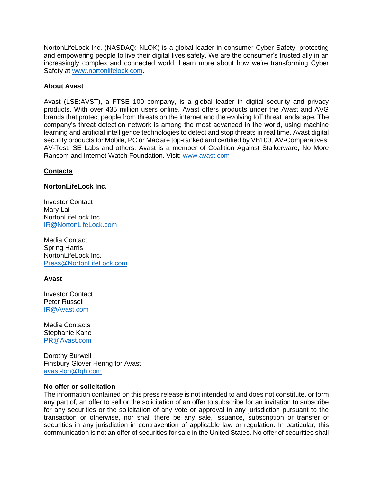NortonLifeLock Inc. (NASDAQ: NLOK) is a global leader in consumer Cyber Safety, protecting and empowering people to live their digital lives safely. We are the consumer's trusted ally in an increasingly complex and connected world. Learn more about how we're transforming Cyber Safety at [www.nortonlifelock.com.](http://www.nortonlifelock.com/)

## **About Avast**

Avast (LSE:AVST), a FTSE 100 company, is a global leader in digital security and privacy products. With over 435 million users online, Avast offers products under the Avast and AVG brands that protect people from threats on the internet and the evolving IoT threat landscape. The company's threat detection network is among the most advanced in the world, using machine learning and artificial intelligence technologies to detect and stop threats in real time. Avast digital security products for Mobile, PC or Mac are top-ranked and certified by VB100, AV-Comparatives, AV-Test, SE Labs and others. Avast is a member of Coalition Against Stalkerware, No More Ransom and Internet Watch Foundation. Visit: [www.avast.com](https://www.avast.com/)

## **Contacts**

## **NortonLifeLock Inc.**

Investor Contact Mary Lai NortonLifeLock Inc. [IR@NortonLifeLock.com](mailto:IR@NortonLifeLock.com)

Media Contact Spring Harris NortonLifeLock Inc. [Press@NortonLifeLock.com](mailto:Press@NortonLifeLock.com)

# **Avast**

Investor Contact Peter Russell [IR@Avast.com](mailto:IR@Avast.com)

Media Contacts Stephanie Kane [PR@Avast.com](mailto:PR@Avast.com)

Dorothy Burwell Finsbury Glover Hering for Avast [avast-lon@fgh.com](mailto:avast-lon@fgh.com)

#### **No offer or solicitation**

The information contained on this press release is not intended to and does not constitute, or form any part of, an offer to sell or the solicitation of an offer to subscribe for an invitation to subscribe for any securities or the solicitation of any vote or approval in any jurisdiction pursuant to the transaction or otherwise, nor shall there be any sale, issuance, subscription or transfer of securities in any jurisdiction in contravention of applicable law or regulation. In particular, this communication is not an offer of securities for sale in the United States. No offer of securities shall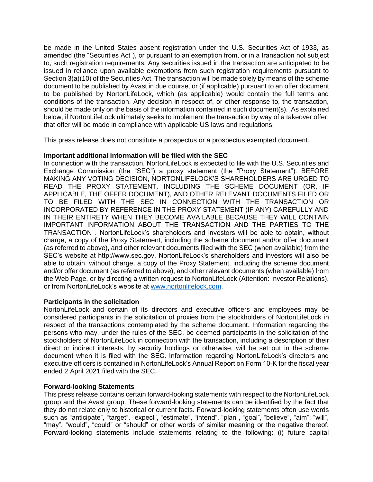be made in the United States absent registration under the U.S. Securities Act of 1933, as amended (the "Securities Act"), or pursuant to an exemption from, or in a transaction not subject to, such registration requirements. Any securities issued in the transaction are anticipated to be issued in reliance upon available exemptions from such registration requirements pursuant to Section 3(a)(10) of the Securities Act. The transaction will be made solely by means of the scheme document to be published by Avast in due course, or (if applicable) pursuant to an offer document to be published by NortonLifeLock, which (as applicable) would contain the full terms and conditions of the transaction. Any decision in respect of, or other response to, the transaction, should be made only on the basis of the information contained in such document(s). As explained below, if NortonLifeLock ultimately seeks to implement the transaction by way of a takeover offer, that offer will be made in compliance with applicable US laws and regulations.

This press release does not constitute a prospectus or a prospectus exempted document.

# **Important additional information will be filed with the SEC**

In connection with the transaction, NortonLifeLock is expected to file with the U.S. Securities and Exchange Commission (the "SEC") a proxy statement (the "Proxy Statement"). BEFORE MAKING ANY VOTING DECISION, NORTONLIFELOCK'S SHAREHOLDERS ARE URGED TO READ THE PROXY STATEMENT, INCLUDING THE SCHEME DOCUMENT (OR, IF APPLICABLE, THE OFFER DOCUMENT), AND OTHER RELEVANT DOCUMENTS FILED OR TO BE FILED WITH THE SEC IN CONNECTION WITH THE TRANSACTION OR INCORPORATED BY REFERENCE IN THE PROXY STATEMENT (IF ANY) CAREFULLY AND IN THEIR ENTIRETY WHEN THEY BECOME AVAILABLE BECAUSE THEY WILL CONTAIN IMPORTANT INFORMATION ABOUT THE TRANSACTION AND THE PARTIES TO THE TRANSACTION . NortonLifeLock's shareholders and investors will be able to obtain, without charge, a copy of the Proxy Statement, including the scheme document and/or offer document (as referred to above), and other relevant documents filed with the SEC (when available) from the SEC's website at http://www.sec.gov. NortonLifeLock's shareholders and investors will also be able to obtain, without charge, a copy of the Proxy Statement, including the scheme document and/or offer document (as referred to above), and other relevant documents (when available) from the Web Page, or by directing a written request to NortonLifeLock (Attention: Investor Relations), or from NortonLifeLock's website at [www.nortonlifelock.com.](http://www.nortonlifelock.com/)

# **Participants in the solicitation**

NortonLifeLock and certain of its directors and executive officers and employees may be considered participants in the solicitation of proxies from the stockholders of NortonLifeLock in respect of the transactions contemplated by the scheme document. Information regarding the persons who may, under the rules of the SEC, be deemed participants in the solicitation of the stockholders of NortonLifeLock in connection with the transaction, including a description of their direct or indirect interests, by security holdings or otherwise, will be set out in the scheme document when it is filed with the SEC. Information regarding NortonLifeLock's directors and executive officers is contained in NortonLifeLock's Annual Report on Form 10-K for the fiscal year ended 2 April 2021 filed with the SEC.

# **Forward-looking Statements**

This press release contains certain forward-looking statements with respect to the NortonLifeLock group and the Avast group. These forward-looking statements can be identified by the fact that they do not relate only to historical or current facts. Forward-looking statements often use words such as "anticipate", "target", "expect", "estimate", "intend", "plan", "goal", "believe", "aim", "will", "may", "would", "could" or "should" or other words of similar meaning or the negative thereof. Forward-looking statements include statements relating to the following: (i) future capital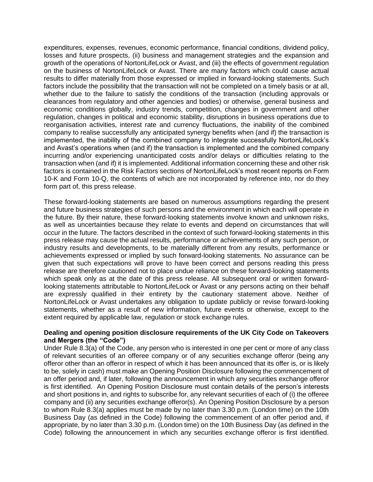expenditures, expenses, revenues, economic performance, financial conditions, dividend policy, losses and future prospects, (ii) business and management strategies and the expansion and growth of the operations of NortonLifeLock or Avast, and (iii) the effects of government regulation on the business of NortonLifeLock or Avast. There are many factors which could cause actual results to differ materially from those expressed or implied in forward-looking statements. Such factors include the possibility that the transaction will not be completed on a timely basis or at all, whether due to the failure to satisfy the conditions of the transaction (including approvals or clearances from regulatory and other agencies and bodies) or otherwise, general business and economic conditions globally, industry trends, competition, changes in government and other regulation, changes in political and economic stability, disruptions in business operations due to reorganisation activities, interest rate and currency fluctuations, the inability of the combined company to realise successfully any anticipated synergy benefits when (and if) the transaction is implemented, the inability of the combined company to integrate successfully NortonLifeLock's and Avast's operations when (and if) the transaction is implemented and the combined company incurring and/or experiencing unanticipated costs and/or delays or difficulties relating to the transaction when (and if) it is implemented. Additional information concerning these and other risk factors is contained in the Risk Factors sections of NortonLifeLock's most recent reports on Form 10-K and Form 10-Q, the contents of which are not incorporated by reference into, nor do they form part of, this press release.

These forward-looking statements are based on numerous assumptions regarding the present and future business strategies of such persons and the environment in which each will operate in the future. By their nature, these forward-looking statements involve known and unknown risks, as well as uncertainties because they relate to events and depend on circumstances that will occur in the future. The factors described in the context of such forward-looking statements in this press release may cause the actual results, performance or achievements of any such person, or industry results and developments, to be materially different from any results, performance or achievements expressed or implied by such forward-looking statements. No assurance can be given that such expectations will prove to have been correct and persons reading this press release are therefore cautioned not to place undue reliance on these forward-looking statements which speak only as at the date of this press release. All subsequent oral or written forwardlooking statements attributable to NortonLifeLock or Avast or any persons acting on their behalf are expressly qualified in their entirety by the cautionary statement above. Neither of NortonLifeLock or Avast undertakes any obligation to update publicly or revise forward-looking statements, whether as a result of new information, future events or otherwise, except to the extent required by applicable law, regulation or stock exchange rules.

## **Dealing and opening position disclosure requirements of the UK City Code on Takeovers and Mergers (the "Code")**

Under Rule 8.3(a) of the Code, any person who is interested in one per cent or more of any class of relevant securities of an offeree company or of any securities exchange offeror (being any offeror other than an offeror in respect of which it has been announced that its offer is, or is likely to be, solely in cash) must make an Opening Position Disclosure following the commencement of an offer period and, if later, following the announcement in which any securities exchange offeror is first identified. An Opening Position Disclosure must contain details of the person's interests and short positions in, and rights to subscribe for, any relevant securities of each of (i) the offeree company and (ii) any securities exchange offeror(s). An Opening Position Disclosure by a person to whom Rule 8.3(a) applies must be made by no later than 3.30 p.m. (London time) on the 10th Business Day (as defined in the Code) following the commencement of an offer period and, if appropriate, by no later than 3.30 p.m. (London time) on the 10th Business Day (as defined in the Code) following the announcement in which any securities exchange offeror is first identified.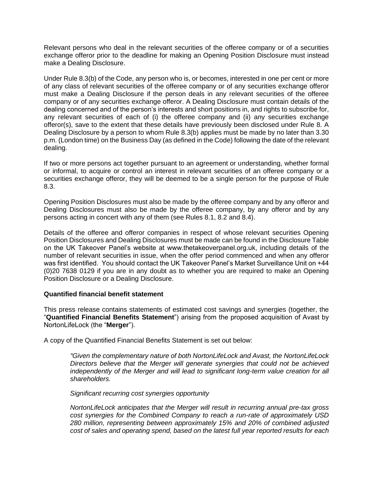Relevant persons who deal in the relevant securities of the offeree company or of a securities exchange offeror prior to the deadline for making an Opening Position Disclosure must instead make a Dealing Disclosure.

Under Rule 8.3(b) of the Code, any person who is, or becomes, interested in one per cent or more of any class of relevant securities of the offeree company or of any securities exchange offeror must make a Dealing Disclosure if the person deals in any relevant securities of the offeree company or of any securities exchange offeror. A Dealing Disclosure must contain details of the dealing concerned and of the person's interests and short positions in, and rights to subscribe for, any relevant securities of each of (i) the offeree company and (ii) any securities exchange offeror(s), save to the extent that these details have previously been disclosed under Rule 8. A Dealing Disclosure by a person to whom Rule 8.3(b) applies must be made by no later than 3.30 p.m. (London time) on the Business Day (as defined in the Code) following the date of the relevant dealing.

If two or more persons act together pursuant to an agreement or understanding, whether formal or informal, to acquire or control an interest in relevant securities of an offeree company or a securities exchange offeror, they will be deemed to be a single person for the purpose of Rule 8.3.

Opening Position Disclosures must also be made by the offeree company and by any offeror and Dealing Disclosures must also be made by the offeree company, by any offeror and by any persons acting in concert with any of them (see Rules 8.1, 8.2 and 8.4).

Details of the offeree and offeror companies in respect of whose relevant securities Opening Position Disclosures and Dealing Disclosures must be made can be found in the Disclosure Table on the UK Takeover Panel's website at www.thetakeoverpanel.org.uk, including details of the number of relevant securities in issue, when the offer period commenced and when any offeror was first identified. You should contact the UK Takeover Panel's Market Surveillance Unit on +44 (0)20 7638 0129 if you are in any doubt as to whether you are required to make an Opening Position Disclosure or a Dealing Disclosure.

#### **Quantified financial benefit statement**

This press release contains statements of estimated cost savings and synergies (together, the "**Quantified Financial Benefits Statement**") arising from the proposed acquisition of Avast by NortonLifeLock (the "**Merger**").

A copy of the Quantified Financial Benefits Statement is set out below:

*"Given the complementary nature of both NortonLifeLock and Avast, the NortonLifeLock Directors believe that the Merger will generate synergies that could not be achieved independently of the Merger and will lead to significant long-term value creation for all shareholders.*

*Significant recurring cost synergies opportunity*

*NortonLifeLock anticipates that the Merger will result in recurring annual pre-tax gross cost synergies for the Combined Company to reach a run-rate of approximately USD 280 million, representing between approximately 15% and 20% of combined adjusted cost of sales and operating spend, based on the latest full year reported results for each*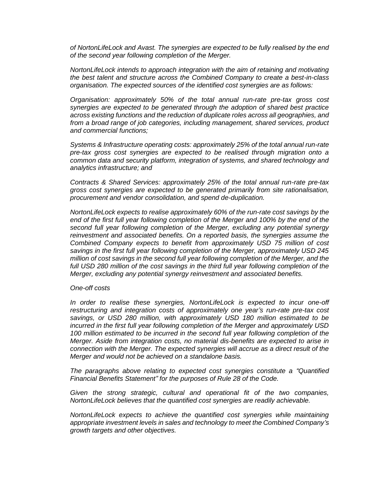*of NortonLifeLock and Avast. The synergies are expected to be fully realised by the end of the second year following completion of the Merger.*

*NortonLifeLock intends to approach integration with the aim of retaining and motivating the best talent and structure across the Combined Company to create a best-in-class organisation. The expected sources of the identified cost synergies are as follows:*

*Organisation: approximately 50% of the total annual run-rate pre-tax gross cost synergies are expected to be generated through the adoption of shared best practice across existing functions and the reduction of duplicate roles across all geographies, and from a broad range of job categories, including management, shared services, product and commercial functions;*

*Systems & Infrastructure operating costs: approximately 25% of the total annual run-rate pre-tax gross cost synergies are expected to be realised through migration onto a common data and security platform, integration of systems, and shared technology and analytics infrastructure; and*

*Contracts & Shared Services: approximately 25% of the total annual run-rate pre-tax gross cost synergies are expected to be generated primarily from site rationalisation, procurement and vendor consolidation, and spend de-duplication.*

*NortonLifeLock expects to realise approximately 60% of the run-rate cost savings by the end of the first full year following completion of the Merger and 100% by the end of the second full year following completion of the Merger, excluding any potential synergy reinvestment and associated benefits. On a reported basis, the synergies assume the Combined Company expects to benefit from approximately USD 75 million of cost savings in the first full year following completion of the Merger, approximately USD 245 million of cost savings in the second full year following completion of the Merger, and the full USD 280 million of the cost savings in the third full year following completion of the Merger, excluding any potential synergy reinvestment and associated benefits.* 

#### *One-off costs*

*In order to realise these synergies, NortonLifeLock is expected to incur one-off restructuring and integration costs of approximately one year's run-rate pre-tax cost savings, or USD 280 million, with approximately USD 180 million estimated to be incurred in the first full year following completion of the Merger and approximately USD 100 million estimated to be incurred in the second full year following completion of the Merger. Aside from integration costs, no material dis-benefits are expected to arise in connection with the Merger. The expected synergies will accrue as a direct result of the Merger and would not be achieved on a standalone basis.*

*The paragraphs above relating to expected cost synergies constitute a "Quantified Financial Benefits Statement" for the purposes of Rule 28 of the Code.*

*Given the strong strategic, cultural and operational fit of the two companies, NortonLifeLock believes that the quantified cost synergies are readily achievable.*

*NortonLifeLock expects to achieve the quantified cost synergies while maintaining appropriate investment levels in sales and technology to meet the Combined Company's growth targets and other objectives.*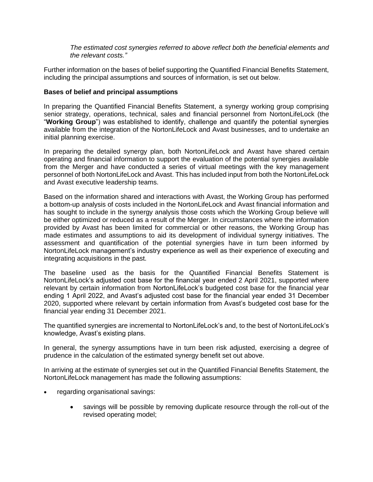*The estimated cost synergies referred to above reflect both the beneficial elements and the relevant costs."*

Further information on the bases of belief supporting the Quantified Financial Benefits Statement, including the principal assumptions and sources of information, is set out below.

## **Bases of belief and principal assumptions**

In preparing the Quantified Financial Benefits Statement, a synergy working group comprising senior strategy, operations, technical, sales and financial personnel from NortonLifeLock (the "**Working Group**") was established to identify, challenge and quantify the potential synergies available from the integration of the NortonLifeLock and Avast businesses, and to undertake an initial planning exercise.

In preparing the detailed synergy plan, both NortonLifeLock and Avast have shared certain operating and financial information to support the evaluation of the potential synergies available from the Merger and have conducted a series of virtual meetings with the key management personnel of both NortonLifeLock and Avast. This has included input from both the NortonLifeLock and Avast executive leadership teams.

Based on the information shared and interactions with Avast, the Working Group has performed a bottom-up analysis of costs included in the NortonLifeLock and Avast financial information and has sought to include in the synergy analysis those costs which the Working Group believe will be either optimized or reduced as a result of the Merger. In circumstances where the information provided by Avast has been limited for commercial or other reasons, the Working Group has made estimates and assumptions to aid its development of individual synergy initiatives. The assessment and quantification of the potential synergies have in turn been informed by NortonLifeLock management's industry experience as well as their experience of executing and integrating acquisitions in the past.

The baseline used as the basis for the Quantified Financial Benefits Statement is NortonLifeLock's adjusted cost base for the financial year ended 2 April 2021, supported where relevant by certain information from NortonLifeLock's budgeted cost base for the financial year ending 1 April 2022, and Avast's adjusted cost base for the financial year ended 31 December 2020, supported where relevant by certain information from Avast's budgeted cost base for the financial year ending 31 December 2021.

The quantified synergies are incremental to NortonLifeLock's and, to the best of NortonLifeLock's knowledge, Avast's existing plans.

In general, the synergy assumptions have in turn been risk adjusted, exercising a degree of prudence in the calculation of the estimated synergy benefit set out above.

In arriving at the estimate of synergies set out in the Quantified Financial Benefits Statement, the NortonLifeLock management has made the following assumptions:

- regarding organisational savings:
	- savings will be possible by removing duplicate resource through the roll-out of the revised operating model;